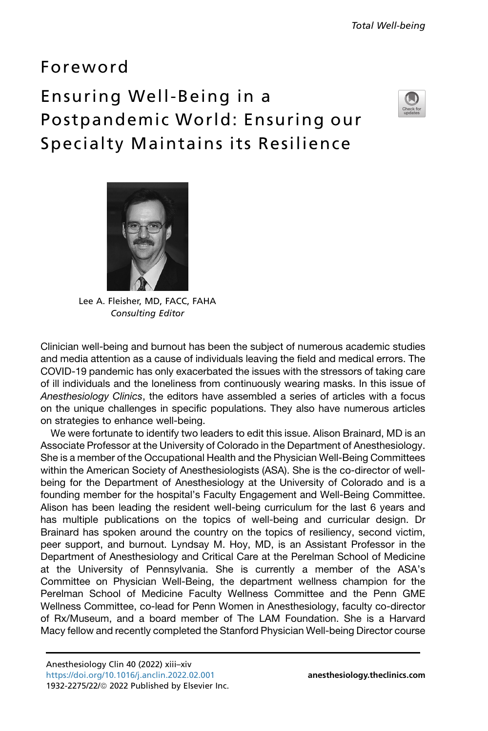## Foreword

## Ensuring Well-Being in a Postpandemic World: Ensuring our Specialty Maintains its Resilience





Lee A. Fleisher, MD, FACC, FAHA Consulting Editor

Clinician well-being and burnout has been the subject of numerous academic studies and media attention as a cause of individuals leaving the field and medical errors. The COVID-19 pandemic has only exacerbated the issues with the stressors of taking care of ill individuals and the loneliness from continuously wearing masks. In this issue of *Anesthesiology Clinics*, the editors have assembled a series of articles with a focus on the unique challenges in specific populations. They also have numerous articles on strategies to enhance well-being.

We were fortunate to identify two leaders to edit this issue. Alison Brainard, MD is an Associate Professor at the University of Colorado in the Department of Anesthesiology. She is a member of the Occupational Health and the Physician Well-Being Committees within the American Society of Anesthesiologists (ASA). She is the co-director of wellbeing for the Department of Anesthesiology at the University of Colorado and is a founding member for the hospital's Faculty Engagement and Well-Being Committee. Alison has been leading the resident well-being curriculum for the last 6 years and has multiple publications on the topics of well-being and curricular design. Dr Brainard has spoken around the country on the topics of resiliency, second victim, peer support, and burnout. Lyndsay M. Hoy, MD, is an Assistant Professor in the Department of Anesthesiology and Critical Care at the Perelman School of Medicine at the University of Pennsylvania. She is currently a member of the ASA's Committee on Physician Well-Being, the department wellness champion for the Perelman School of Medicine Faculty Wellness Committee and the Penn GME Wellness Committee, co-lead for Penn Women in Anesthesiology, faculty co-director of Rx/Museum, and a board member of The LAM Foundation. She is a Harvard Macy fellow and recently completed the Stanford Physician Well-being Director course